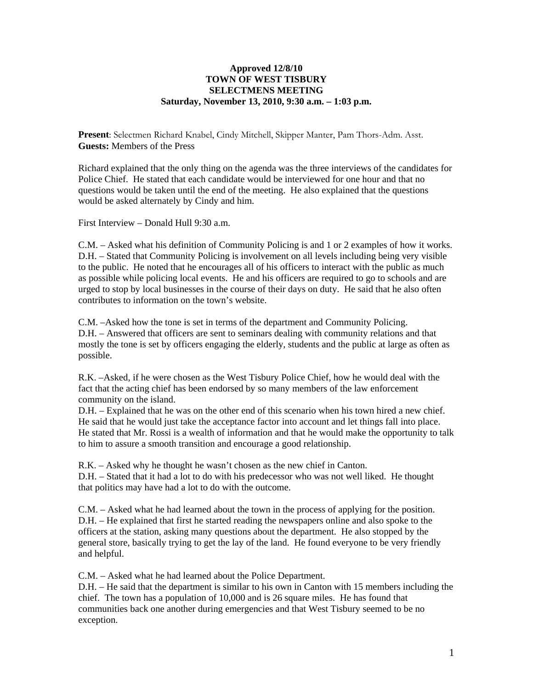## **Approved 12/8/10 TOWN OF WEST TISBURY SELECTMENS MEETING Saturday, November 13, 2010, 9:30 a.m. – 1:03 p.m.**

**Present**: Selectmen Richard Knabel, Cindy Mitchell, Skipper Manter, Pam Thors-Adm. Asst. **Guests:** Members of the Press

Richard explained that the only thing on the agenda was the three interviews of the candidates for Police Chief. He stated that each candidate would be interviewed for one hour and that no questions would be taken until the end of the meeting. He also explained that the questions would be asked alternately by Cindy and him.

First Interview – Donald Hull  $9.30 a m$ .

C.M. – Asked what his definition of Community Policing is and 1 or 2 examples of how it works. D.H. – Stated that Community Policing is involvement on all levels including being very visible to the public. He noted that he encourages all of his officers to interact with the public as much as possible while policing local events. He and his officers are required to go to schools and are urged to stop by local businesses in the course of their days on duty. He said that he also often contributes to information on the town's website.

C.M. –Asked how the tone is set in terms of the department and Community Policing. D.H. – Answered that officers are sent to seminars dealing with community relations and that mostly the tone is set by officers engaging the elderly, students and the public at large as often as possible.

R.K. –Asked, if he were chosen as the West Tisbury Police Chief, how he would deal with the fact that the acting chief has been endorsed by so many members of the law enforcement community on the island.

D.H. – Explained that he was on the other end of this scenario when his town hired a new chief. He said that he would just take the acceptance factor into account and let things fall into place. He stated that Mr. Rossi is a wealth of information and that he would make the opportunity to talk to him to assure a smooth transition and encourage a good relationship.

R.K. – Asked why he thought he wasn't chosen as the new chief in Canton. D.H. – Stated that it had a lot to do with his predecessor who was not well liked. He thought that politics may have had a lot to do with the outcome.

C.M. – Asked what he had learned about the town in the process of applying for the position. D.H. – He explained that first he started reading the newspapers online and also spoke to the officers at the station, asking many questions about the department. He also stopped by the general store, basically trying to get the lay of the land. He found everyone to be very friendly and helpful.

C.M. – Asked what he had learned about the Police Department.

D.H. – He said that the department is similar to his own in Canton with 15 members including the chief. The town has a population of 10,000 and is 26 square miles. He has found that communities back one another during emergencies and that West Tisbury seemed to be no exception.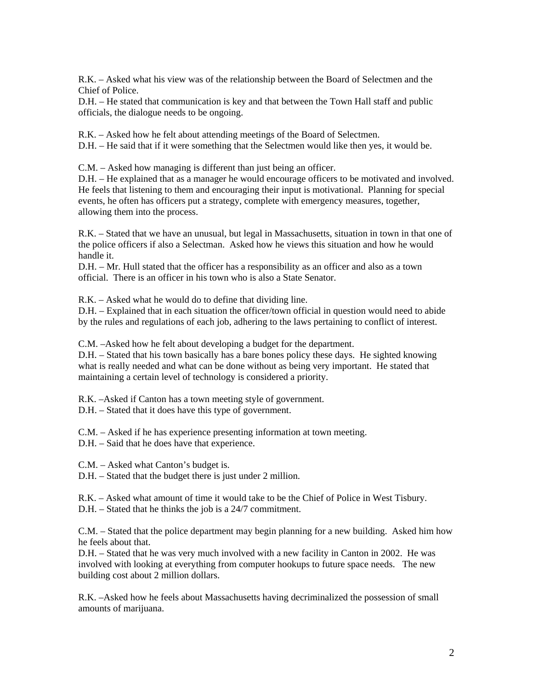R.K. – Asked what his view was of the relationship between the Board of Selectmen and the Chief of Police.

D.H. – He stated that communication is key and that between the Town Hall staff and public officials, the dialogue needs to be ongoing.

R.K. – Asked how he felt about attending meetings of the Board of Selectmen.

D.H. – He said that if it were something that the Selectmen would like then yes, it would be.

C.M. – Asked how managing is different than just being an officer.

D.H. – He explained that as a manager he would encourage officers to be motivated and involved. He feels that listening to them and encouraging their input is motivational. Planning for special events, he often has officers put a strategy, complete with emergency measures, together, allowing them into the process.

R.K. – Stated that we have an unusual, but legal in Massachusetts, situation in town in that one of the police officers if also a Selectman. Asked how he views this situation and how he would handle it.

D.H. – Mr. Hull stated that the officer has a responsibility as an officer and also as a town official. There is an officer in his town who is also a State Senator.

R.K. – Asked what he would do to define that dividing line.

D.H. – Explained that in each situation the officer/town official in question would need to abide by the rules and regulations of each job, adhering to the laws pertaining to conflict of interest.

C.M. –Asked how he felt about developing a budget for the department.

D.H. – Stated that his town basically has a bare bones policy these days. He sighted knowing what is really needed and what can be done without as being very important. He stated that maintaining a certain level of technology is considered a priority.

R.K. –Asked if Canton has a town meeting style of government.

D.H. – Stated that it does have this type of government.

C.M. – Asked if he has experience presenting information at town meeting.

D.H. – Said that he does have that experience.

C.M. – Asked what Canton's budget is.

D.H. – Stated that the budget there is just under 2 million.

R.K. – Asked what amount of time it would take to be the Chief of Police in West Tisbury.

D.H. – Stated that he thinks the job is a 24/7 commitment.

C.M. – Stated that the police department may begin planning for a new building. Asked him how he feels about that.

D.H. – Stated that he was very much involved with a new facility in Canton in 2002. He was involved with looking at everything from computer hookups to future space needs. The new building cost about 2 million dollars.

R.K. –Asked how he feels about Massachusetts having decriminalized the possession of small amounts of marijuana.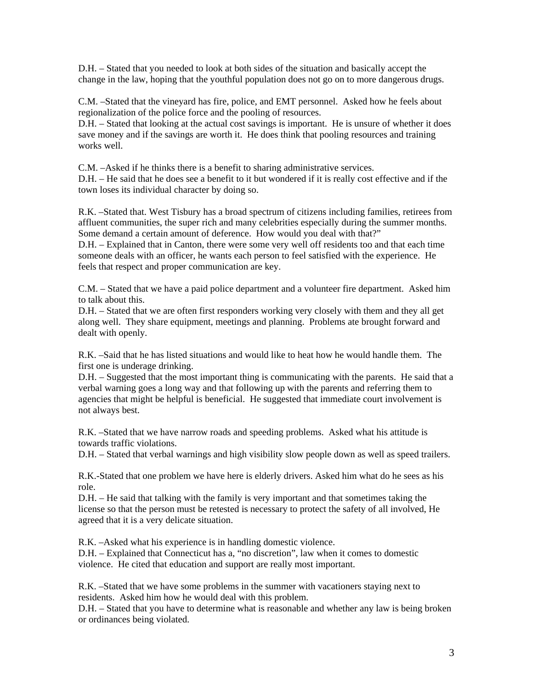D.H. – Stated that you needed to look at both sides of the situation and basically accept the change in the law, hoping that the youthful population does not go on to more dangerous drugs.

C.M. –Stated that the vineyard has fire, police, and EMT personnel. Asked how he feels about regionalization of the police force and the pooling of resources.

D.H. – Stated that looking at the actual cost savings is important. He is unsure of whether it does save money and if the savings are worth it. He does think that pooling resources and training works well.

C.M. –Asked if he thinks there is a benefit to sharing administrative services.

D.H. – He said that he does see a benefit to it but wondered if it is really cost effective and if the town loses its individual character by doing so.

R.K. –Stated that. West Tisbury has a broad spectrum of citizens including families, retirees from affluent communities, the super rich and many celebrities especially during the summer months. Some demand a certain amount of deference. How would you deal with that?"

D.H. – Explained that in Canton, there were some very well off residents too and that each time someone deals with an officer, he wants each person to feel satisfied with the experience. He feels that respect and proper communication are key.

C.M. – Stated that we have a paid police department and a volunteer fire department. Asked him to talk about this.

D.H. – Stated that we are often first responders working very closely with them and they all get along well. They share equipment, meetings and planning. Problems ate brought forward and dealt with openly.

R.K. –Said that he has listed situations and would like to heat how he would handle them. The first one is underage drinking.

D.H. – Suggested that the most important thing is communicating with the parents. He said that a verbal warning goes a long way and that following up with the parents and referring them to agencies that might be helpful is beneficial. He suggested that immediate court involvement is not always best.

R.K. –Stated that we have narrow roads and speeding problems. Asked what his attitude is towards traffic violations.

D.H. – Stated that verbal warnings and high visibility slow people down as well as speed trailers.

R.K.-Stated that one problem we have here is elderly drivers. Asked him what do he sees as his role.

D.H. – He said that talking with the family is very important and that sometimes taking the license so that the person must be retested is necessary to protect the safety of all involved, He agreed that it is a very delicate situation.

R.K. –Asked what his experience is in handling domestic violence.

D.H. – Explained that Connecticut has a, "no discretion", law when it comes to domestic violence. He cited that education and support are really most important.

R.K. –Stated that we have some problems in the summer with vacationers staying next to residents. Asked him how he would deal with this problem.

D.H. – Stated that you have to determine what is reasonable and whether any law is being broken or ordinances being violated.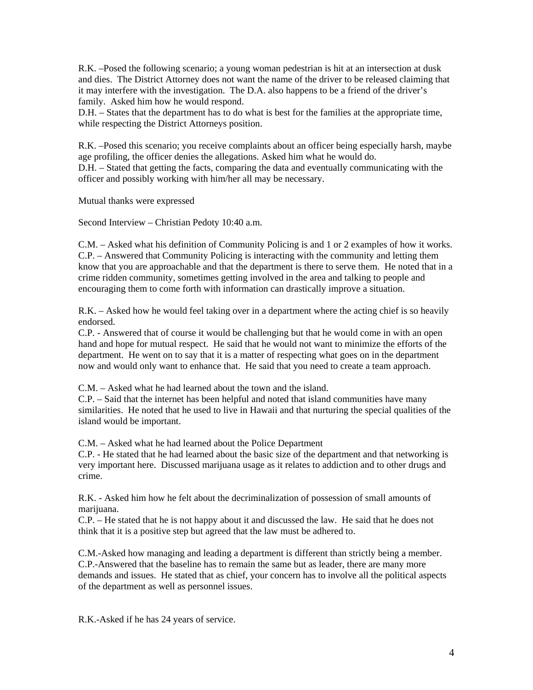R.K. –Posed the following scenario; a young woman pedestrian is hit at an intersection at dusk and dies. The District Attorney does not want the name of the driver to be released claiming that it may interfere with the investigation. The D.A. also happens to be a friend of the driver's family. Asked him how he would respond.

D.H. – States that the department has to do what is best for the families at the appropriate time, while respecting the District Attorneys position.

R.K. –Posed this scenario; you receive complaints about an officer being especially harsh, maybe age profiling, the officer denies the allegations. Asked him what he would do. D.H. – Stated that getting the facts, comparing the data and eventually communicating with the officer and possibly working with him/her all may be necessary.

Mutual thanks were expressed

Second Interview – Christian Pedoty 10:40 a.m.

C.M. – Asked what his definition of Community Policing is and 1 or 2 examples of how it works. C.P. – Answered that Community Policing is interacting with the community and letting them know that you are approachable and that the department is there to serve them. He noted that in a crime ridden community, sometimes getting involved in the area and talking to people and encouraging them to come forth with information can drastically improve a situation.

R.K. – Asked how he would feel taking over in a department where the acting chief is so heavily endorsed.

C.P. - Answered that of course it would be challenging but that he would come in with an open hand and hope for mutual respect. He said that he would not want to minimize the efforts of the department. He went on to say that it is a matter of respecting what goes on in the department now and would only want to enhance that. He said that you need to create a team approach.

C.M. – Asked what he had learned about the town and the island.

C.P. – Said that the internet has been helpful and noted that island communities have many similarities. He noted that he used to live in Hawaii and that nurturing the special qualities of the island would be important.

C.M. – Asked what he had learned about the Police Department

C.P. - He stated that he had learned about the basic size of the department and that networking is very important here. Discussed marijuana usage as it relates to addiction and to other drugs and crime.

R.K. - Asked him how he felt about the decriminalization of possession of small amounts of marijuana.

C.P. – He stated that he is not happy about it and discussed the law. He said that he does not think that it is a positive step but agreed that the law must be adhered to.

C.M.-Asked how managing and leading a department is different than strictly being a member. C.P.-Answered that the baseline has to remain the same but as leader, there are many more demands and issues. He stated that as chief, your concern has to involve all the political aspects of the department as well as personnel issues.

R.K.-Asked if he has 24 years of service.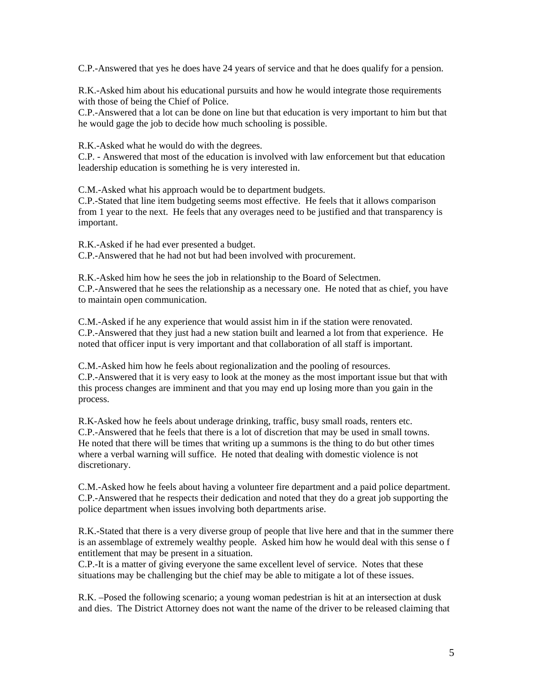C.P.-Answered that yes he does have 24 years of service and that he does qualify for a pension.

R.K.-Asked him about his educational pursuits and how he would integrate those requirements with those of being the Chief of Police.

C.P.-Answered that a lot can be done on line but that education is very important to him but that he would gage the job to decide how much schooling is possible.

R.K.-Asked what he would do with the degrees.

C.P. - Answered that most of the education is involved with law enforcement but that education leadership education is something he is very interested in.

C.M.-Asked what his approach would be to department budgets.

C.P.-Stated that line item budgeting seems most effective. He feels that it allows comparison from 1 year to the next. He feels that any overages need to be justified and that transparency is important.

R.K.-Asked if he had ever presented a budget.

C.P.-Answered that he had not but had been involved with procurement.

R.K.-Asked him how he sees the job in relationship to the Board of Selectmen. C.P.-Answered that he sees the relationship as a necessary one. He noted that as chief, you have to maintain open communication.

C.M.-Asked if he any experience that would assist him in if the station were renovated. C.P.-Answered that they just had a new station built and learned a lot from that experience. He noted that officer input is very important and that collaboration of all staff is important.

C.M.-Asked him how he feels about regionalization and the pooling of resources. C.P.-Answered that it is very easy to look at the money as the most important issue but that with this process changes are imminent and that you may end up losing more than you gain in the process.

R.K-Asked how he feels about underage drinking, traffic, busy small roads, renters etc. C.P.-Answered that he feels that there is a lot of discretion that may be used in small towns. He noted that there will be times that writing up a summons is the thing to do but other times where a verbal warning will suffice. He noted that dealing with domestic violence is not discretionary.

C.M.-Asked how he feels about having a volunteer fire department and a paid police department. C.P.-Answered that he respects their dedication and noted that they do a great job supporting the police department when issues involving both departments arise.

R.K.-Stated that there is a very diverse group of people that live here and that in the summer there is an assemblage of extremely wealthy people. Asked him how he would deal with this sense o f entitlement that may be present in a situation.

C.P.-It is a matter of giving everyone the same excellent level of service. Notes that these situations may be challenging but the chief may be able to mitigate a lot of these issues.

R.K. –Posed the following scenario; a young woman pedestrian is hit at an intersection at dusk and dies. The District Attorney does not want the name of the driver to be released claiming that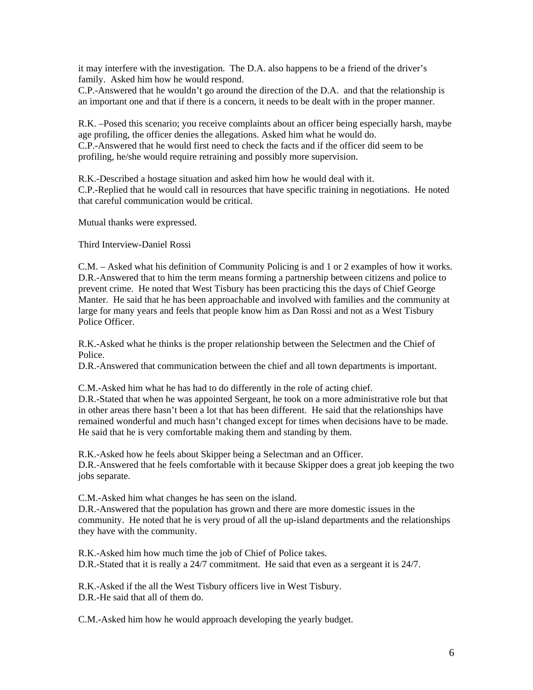it may interfere with the investigation. The D.A. also happens to be a friend of the driver's family. Asked him how he would respond.

C.P.-Answered that he wouldn't go around the direction of the D.A. and that the relationship is an important one and that if there is a concern, it needs to be dealt with in the proper manner.

R.K. –Posed this scenario; you receive complaints about an officer being especially harsh, maybe age profiling, the officer denies the allegations. Asked him what he would do. C.P.-Answered that he would first need to check the facts and if the officer did seem to be profiling, he/she would require retraining and possibly more supervision.

R.K.-Described a hostage situation and asked him how he would deal with it. C.P.-Replied that he would call in resources that have specific training in negotiations. He noted that careful communication would be critical.

Mutual thanks were expressed.

Third Interview-Daniel Rossi

C.M. – Asked what his definition of Community Policing is and 1 or 2 examples of how it works. D.R.-Answered that to him the term means forming a partnership between citizens and police to prevent crime. He noted that West Tisbury has been practicing this the days of Chief George Manter. He said that he has been approachable and involved with families and the community at large for many years and feels that people know him as Dan Rossi and not as a West Tisbury Police Officer.

R.K.-Asked what he thinks is the proper relationship between the Selectmen and the Chief of Police.

D.R.-Answered that communication between the chief and all town departments is important.

C.M.-Asked him what he has had to do differently in the role of acting chief. D.R.-Stated that when he was appointed Sergeant, he took on a more administrative role but that in other areas there hasn't been a lot that has been different. He said that the relationships have remained wonderful and much hasn't changed except for times when decisions have to be made. He said that he is very comfortable making them and standing by them.

R.K.-Asked how he feels about Skipper being a Selectman and an Officer. D.R.-Answered that he feels comfortable with it because Skipper does a great job keeping the two jobs separate.

C.M.-Asked him what changes he has seen on the island.

D.R.-Answered that the population has grown and there are more domestic issues in the community. He noted that he is very proud of all the up-island departments and the relationships they have with the community.

R.K.-Asked him how much time the job of Chief of Police takes. D.R.-Stated that it is really a 24/7 commitment. He said that even as a sergeant it is 24/7.

R.K.-Asked if the all the West Tisbury officers live in West Tisbury. D.R.-He said that all of them do.

C.M.-Asked him how he would approach developing the yearly budget.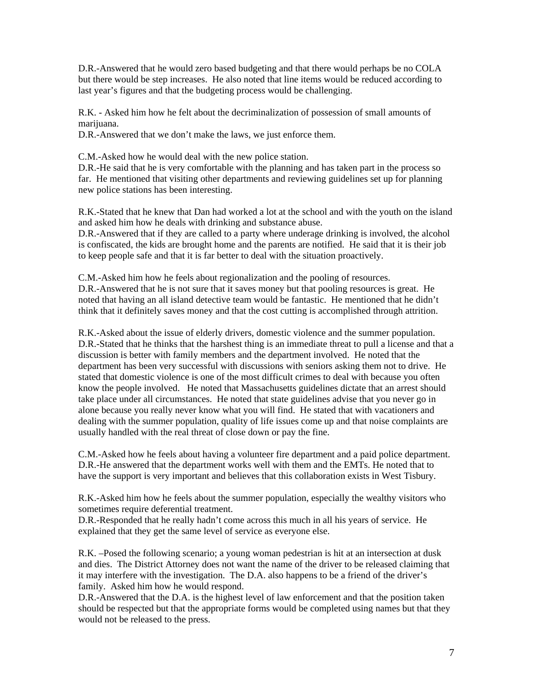D.R.-Answered that he would zero based budgeting and that there would perhaps be no COLA but there would be step increases. He also noted that line items would be reduced according to last year's figures and that the budgeting process would be challenging.

R.K. - Asked him how he felt about the decriminalization of possession of small amounts of marijuana.

D.R.-Answered that we don't make the laws, we just enforce them.

C.M.-Asked how he would deal with the new police station.

D.R.-He said that he is very comfortable with the planning and has taken part in the process so far. He mentioned that visiting other departments and reviewing guidelines set up for planning new police stations has been interesting.

R.K.-Stated that he knew that Dan had worked a lot at the school and with the youth on the island and asked him how he deals with drinking and substance abuse.

D.R.-Answered that if they are called to a party where underage drinking is involved, the alcohol is confiscated, the kids are brought home and the parents are notified. He said that it is their job to keep people safe and that it is far better to deal with the situation proactively.

C.M.-Asked him how he feels about regionalization and the pooling of resources. D.R.-Answered that he is not sure that it saves money but that pooling resources is great. He noted that having an all island detective team would be fantastic. He mentioned that he didn't think that it definitely saves money and that the cost cutting is accomplished through attrition.

R.K.-Asked about the issue of elderly drivers, domestic violence and the summer population. D.R.-Stated that he thinks that the harshest thing is an immediate threat to pull a license and that a discussion is better with family members and the department involved. He noted that the department has been very successful with discussions with seniors asking them not to drive. He stated that domestic violence is one of the most difficult crimes to deal with because you often know the people involved. He noted that Massachusetts guidelines dictate that an arrest should take place under all circumstances. He noted that state guidelines advise that you never go in alone because you really never know what you will find. He stated that with vacationers and dealing with the summer population, quality of life issues come up and that noise complaints are usually handled with the real threat of close down or pay the fine.

C.M.-Asked how he feels about having a volunteer fire department and a paid police department. D.R.-He answered that the department works well with them and the EMTs. He noted that to have the support is very important and believes that this collaboration exists in West Tisbury.

R.K.-Asked him how he feels about the summer population, especially the wealthy visitors who sometimes require deferential treatment.

D.R.-Responded that he really hadn't come across this much in all his years of service. He explained that they get the same level of service as everyone else.

R.K. –Posed the following scenario; a young woman pedestrian is hit at an intersection at dusk and dies. The District Attorney does not want the name of the driver to be released claiming that it may interfere with the investigation. The D.A. also happens to be a friend of the driver's family. Asked him how he would respond.

D.R.-Answered that the D.A. is the highest level of law enforcement and that the position taken should be respected but that the appropriate forms would be completed using names but that they would not be released to the press.